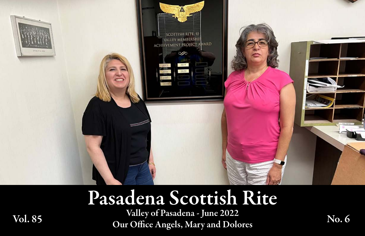

# Pasadena Scottish Rite

Valley of Pasadena - June 2022 Valley of Pasadena - June 2022<br>Our Office Angels, Mary and Dolores No. 6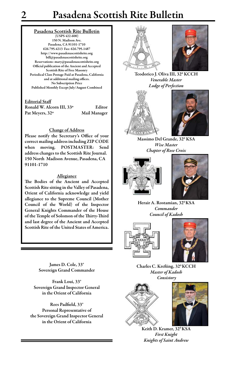(USPS 422-600) 150 N. Madison Ave. Pasadena, CA 91101-1710 626.795.4213 Fax: 626.795.1487 http://www.pasadenascottishrite.org bill@pasadenascottishrite.org Reservations: mary@pasadenascottishrite.org Official publication of the Ancient and Accepted Scottish Rite of Free Masonry Periodical Class Postage Paid at Pasadena, California and at additional mailing offices. No Subscription Price Published Monthly Except July/August Combined

### Editorial Staff

| Ronald W. Alcorn III, 33º | Editor       |
|---------------------------|--------------|
| Pat Meyers, 32°           | Mail Manager |

### Change of Address

Please notify the Secretary's Office of your correct mailing address including ZIP CODE when moving. POSTMASTER: Send address changes to the Scottish Rite Journal. 150 North Madison Avenue, Pasadena, CA 91101-1710

### Allegiance

The Bodies of the Ancient and Accepted Scottish Rite sitting in the Valley of Pasadena, Orient of California acknowledge and yield allegiance to the Supreme Council (Mother Council of the World) of the Inspector General Knights Commander of the House of the Temple of Solomon of the Thirty-Third and last degree of the Ancient and Accepted Scottish Rite of the United States of America.

> James D. Cole, 33° Sovereign Grand Commander

Frank Loui, 33° Sovereign Grand Inspector General in the Orient of California

Rees Padfield, 33° Personal Representative of the Sovereign Grand Inspector General in the Orient of California





Teodorico J. Oliva III, 32º KCCH *Venerable Master Lodge of Perfection*





Massimo Del Grande, 320 KSA *Wise Master Chapter of Rose Croix*





Herair A. Rostamian, 320 KSA *Commander Council of Kadosh*





Charles C. Krefting, 320 KCCH *Master of Kadosh Consistory*





Keith D. Kramer, 32<sup>0</sup> KSA *First Knight Knights of Saint Andrew*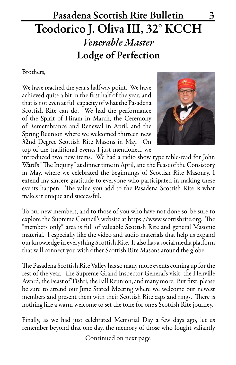## Pasadena Scottish Rite Bulletin 3 Teodorico J. Oliva III, 32° KCCH *Venerable Master* Lodge of Perfection

### Brothers,

We have reached the year's halfway point. We have achieved quite a bit in the first half of the year, and that is not even at full capacity of what the Pasadena Scottish Rite can do. We had the performance of the Spirit of Hiram in March, the Ceremony of Remembrance and Renewal in April, and the Spring Reunion where we welcomed thirteen new 32nd Degree Scottish Rite Masons in May. On top of the traditional events I just mentioned, we



introduced two new items. We had a radio show type table-read for John Ward's "The Inquiry" at dinner time in April, and the Feast of the Consistory in May, where we celebrated the beginnings of Scottish Rite Masonry. I extend my sincere gratitude to everyone who participated in making these events happen. The value you add to the Pasadena Scottish Rite is what makes it unique and successful.

To our new members, and to those of you who have not done so, be sure to explore the Supreme Council's website at https://www.scottishrite.org. The "members only" area is full of valuable Scottish Rite and general Masonic material. I especially like the video and audio materials that help us expand our knowledge in everything Scottish Rite. It also has a social media platform that will connect you with other Scottish Rite Masons around the globe.

The Pasadena Scottish Rite Valley has so many more events coming up for the rest of the year. The Supreme Grand Inspector General's visit, the Henville Award, the Feast of Tishri, the Fall Reunion, and many more. But first, please be sure to attend our June Stated Meeting where we welcome our newest members and present them with their Scottish Rite caps and rings. There is nothing like a warm welcome to set the tone for one's Scottish Rite journey.

Finally, as we had just celebrated Memorial Day a few days ago, let us remember beyond that one day, the memory of those who fought valiantly

Continued on next page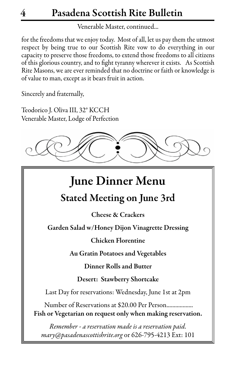Venerable Master, continued...

for the freedoms that we enjoy today. Most of all, let us pay them the utmost respect by being true to our Scottish Rite vow to do everything in our capacity to preserve those freedoms, to extend those freedoms to all citizens of this glorious country, and to fight tyranny wherever it exists. As Scottish Rite Masons, we are ever reminded that no doctrine or faith or knowledge is of value to man, except as it bears fruit in action.

Sincerely and fraternally,

Teodorico J. Oliva III, 32° KCCH Venerable Master, Lodge of Perfection



## June Dinner Menu

## Stated Meeting on June 3rd

Cheese & Crackers

Garden Salad w/Honey Dijon Vinagrette Dressing

Chicken Florentine

Au Gratin Potatoes and Vegetables

Dinner Rolls and Butter

Desert: Stawberry Shortcake

Last Day for reservations: Wednesday, June 1st at 2pm

Number of Reservations at \$20.00 Per Person.................. Fish or Vegetarian on request only when making reservation.

*Remember - a reservation made is a reservation paid. mary@pasadenascottishrite.org* or 626-795-4213 Ext: 101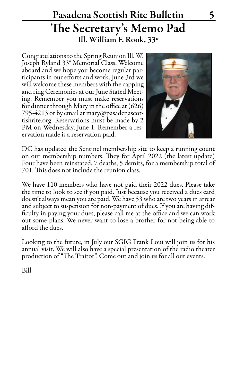## Pasadena Scottish Rite Bulletin 5 The Secretary's Memo Pad Ill. William F. Rook, 33º

Congratulations to the Spring Reunion Ill. W. Joseph Ryland 33° Memorial Class. Welcome aboard and we hope you become regular participants in our efforts and work. June 3rd we will welcome these members with the capping and ring Ceremonies at our June Stated Meeting. Remember you must make reservations for dinner through Mary in the office at (626) 795-4213 or by email at mary@pasadenascottishrite.org. Reservations must be made by 2 PM on Wednesday, June 1. Remember a reservation made is a reservation paid.



DC has updated the Sentinel membership site to keep a running count on our membership numbers. They for April 2022 (the latest update) Four have been reinstated, 7 deaths, 5 demits, for a membership total of 701. This does not include the reunion class.

We have 110 members who have not paid their 2022 dues. Please take the time to look to see if you paid. Just because you received a dues card doesn't always mean you are paid. We have 53 who are two years in arrear and subject to suspension for non-payment of dues. If you are having dif- ficulty in paying your dues, please call me at the office and we can work out some plans. We never want to lose a brother for not being able to afford the dues.

Looking to the future, in July our SGIG Frank Loui will join us for his annual visit. We will also have a special presentation of the radio theater production of "The Traitor". Come out and join us for all our events.

Bill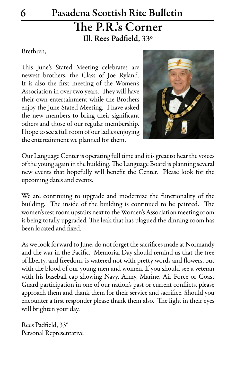## 6 Pasadena Scottish Rite Bulletin The P.R.'s Corner Ill. Rees Padfield, 33º

### Brethren,

This June's Stated Meeting celebrates are newest brothers, the Class of Joe Ryland. It is also the first meeting of the Women's Association in over two years. They will have their own entertainment while the Brothers enjoy the June Stated Meeting. I have asked the new members to bring their significant others and those of our regular membership. I hope to see a full room of our ladies enjoying the entertainment we planned for them.



Our Language Center is operating full time and it is great to hear the voices of the young again in the building. The Language Board is planning several new events that hopefully will benefit the Center. Please look for the upcoming dates and events.

We are continuing to upgrade and modernize the functionality of the building. The inside of the building is continued to be painted. The women's rest room upstairs next to the Women's Association meeting room is being totally upgraded. The leak that has plagued the dinning room has been located and fixed.

As we look forward to June, do not forget the sacrifices made at Normandy and the war in the Pacific. Memorial Day should remind us that the tree of liberty, and freedom, is watered not with pretty words and flowers, but with the blood of our young men and women. If you should see a veteran with his baseball cap showing Navy, Army, Marine, Air Force or Coast Guard participation in one of our nation's past or current conflicts, please approach them and thank them for their service and sacrifice. Should you encounter a first responder please thank them also. The light in their eyes will brighten your day.

Rees Padfield, 33° Personal Representative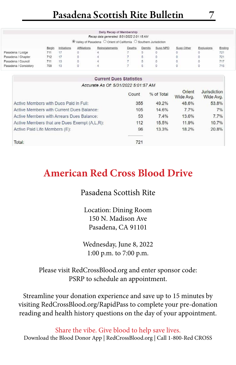|                       |       |             |              | Daily Recap of Membership<br>Recap data generated: 5/31/2022 2:01:15 AM<br>$\circledR$ Valley of Pasadena $\circlearrowright$ Orient of California $\circlearrowright$ Southern Jurisdiction |        |        |          |            |            |        |
|-----------------------|-------|-------------|--------------|----------------------------------------------------------------------------------------------------------------------------------------------------------------------------------------------|--------|--------|----------|------------|------------|--------|
|                       | Begin | Initiations | Affiliations | Reinstatements                                                                                                                                                                               | Deaths | Demits | Susp NPD | Susp Other | Explusions | Ending |
| Pasadena / Lodge      | 711   |             |              |                                                                                                                                                                                              |        |        |          |            |            | 721    |
| Pasadena / Chapter    | 712   | $-17$       |              |                                                                                                                                                                                              |        |        |          |            |            | 721    |
| Pasadena / Council    | 711   | $-13$       |              |                                                                                                                                                                                              |        | 5      |          |            |            | 717    |
| Pasadena / Consistory | 709   | 13          |              |                                                                                                                                                                                              |        | ь      |          |            |            | 715    |

### **Current Dues Statistics** Accurate As Of: 5/31/2022 5:01:57 AM

|                                              | Count | % of Total | Orient<br>Wide Avg. | <b>Jurisdiction</b><br>Wide Avg. |
|----------------------------------------------|-------|------------|---------------------|----------------------------------|
| Active Members with Dues Paid in Full:       | 355   | 49.2%      | 48.6%               | 53.8%                            |
| Active Members with Current Dues Balance:    | 105   | 14.6%      | 7.7%                | 7%                               |
| Active Members with Arrears Dues Balance:    | 53    | 7.4%       | 13.6%               | 7.7%                             |
| Active Members that are Dues Exempt (A,L,R): | 112   | 15.5%      | 11.9%               | 10.7%                            |
| Active Paid Life Members (E):                | 96    | 13.3%      | 18.2%               | 20.8%                            |
| Total:                                       | 721   |            |                     |                                  |

## **American Red Cross Blood Drive**

### Pasadena Scottish Rite

Location: Dining Room 150 N. Madison Ave Pasadena, CA 91101

Wednesday, June 8, 2022 1:00 p.m. to 7:00 p.m.

### Please visit RedCrossBlood.org and enter sponsor code: PSRP to schedule an appointment.

Streamline your donation experience and save up to 15 minutes by visiting RedCrossBlood.org/RapidPass to complete your pre-donation reading and health history questions on the day of your appointment.

Share the vibe. Give blood to help save lives. Download the Blood Donor App | RedCrossBlood.org | Call 1-800-Red CROSS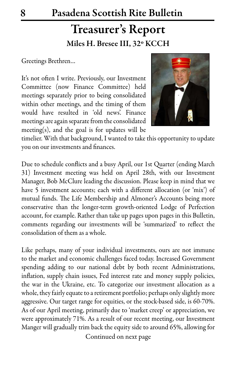## Treasurer's Report Miles H. Bresee III, 32º KCCH

Greetings Brethren…

It's not often I write. Previously, our Investment Committee (now Finance Committee) held meetings separately prior to being consolidated within other meetings, and the timing of them would have resulted in 'old news'. Finance meetings are again separate from the consolidated meeting(s), and the goal is for updates will be



timelier. With that background, I wanted to take this opportunity to update you on our investments and finances.

Due to schedule conflicts and a busy April, our 1st Quarter (ending March 31) Investment meeting was held on April 28th, with our Investment Manager, Bob McClure leading the discussion. Please keep in mind that we have 5 investment accounts; each with a different allocation (or 'mix') of mutual funds. The Life Membership and Almoner's Accounts being more conservative than the longer-term growth-oriented Lodge of Perfection account, for example. Rather than take up pages upon pages in this Bulletin, comments regarding our investments will be 'summarized' to reflect the consolidation of them as a whole.

Like perhaps, many of your individual investments, ours are not immune to the market and economic challenges faced today. Increased Government spending adding to our national debt by both recent Administrations, inflation, supply chain issues, Fed interest rate and money supply policies, the war in the Ukraine, etc. To categorize our investment allocation as a whole, they fairly equate to a retirement portfolio; perhaps only slightly more aggressive. Our target range for equities, or the stock-based side, is 60-70%. As of our April meeting, primarily due to 'market creep' or appreciation, we were approximately 71%. As a result of our recent meeting, our Investment Manger will gradually trim back the equity side to around 65%, allowing for

Continued on next page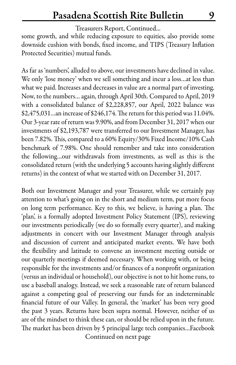### Treasurers Report, Continued...

some growth, and while reducing exposure to equities, also provide some downside cushion with bonds, fixed income, and TIPS (Treasury Inflation Protected Securities) mutual funds.

As far as 'numbers', alluded to above, our investments have declined in value. We only 'lose money' when we sell something and incur a loss…at less than what we paid. Increases and decreases in value are a normal part of investing. Now, to the numbers… again, through April 30th. Compared to April, 2019 with a consolidated balance of \$2,228,857, our April, 2022 balance was \$2,475,031…an increase of \$246,174. The return for this period was 11.04%. Our 3-year rate of return was 9.90%, and from December 31, 2017 when our investments of \$2,193,787 were transferred to our Investment Manager, has been 7.82%. This, compared to a 60% Equity/30% Fixed Income/10% Cash benchmark of 7.98%. One should remember and take into consideration the following…our withdrawals from investments, as well as this is the consolidated return (with the underlying 5 accounts having slightly different returns) in the context of what we started with on December 31, 2017.

Both our Investment Manager and your Treasurer, while we certainly pay attention to what's going on in the short and medium term, put more focus on long term performance. Key to this, we believe, is having a plan. The 'plan', is a formally adopted Investment Policy Statement (IPS), reviewing our investments periodically (we do so formally every quarter), and making adjustments in concert with our Investment Manager through analysis and discussion of current and anticipated market events. We have both the flexibility and latitude to convene an investment meeting outside or our quarterly meetings if deemed necessary. When working with, or being responsible for the investments and/or finances of a nonprofit organization (versus an individual or household), our objective is not to hit home runs, to use a baseball analogy. Instead, we seek a reasonable rate of return balanced against a competing goal of preserving our funds for an indeterminable financial future of our Valley. In general, the 'market' has been very good the past 3 years. Returns have been supra normal. However, neither of us are of the mindset to think these can, or should be relied upon in the future. The market has been driven by 5 principal large tech companies…Facebook Continued on next page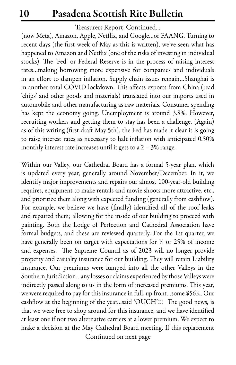### Treasurers Report, Continued...

(now Meta), Amazon, Apple, Netflix, and Google…or FAANG. Turning to recent days (the first week of May as this is written), we've seen what has happened to Amazon and Netflix (one of the risks of investing in individual stocks). The 'Fed' or Federal Reserve is in the process of raising interest rates…making borrowing more expensive for companies and individuals in an effort to dampen inflation. Supply chain issues remain…Shanghai is in another total COVID lockdown. This affects exports from China (read 'chips' and other goods and materials) translated into our imports used in automobile and other manufacturing as raw materials. Consumer spending has kept the economy going. Unemployment is around 3.8%. However, recruiting workers and getting them to stay has been a challenge. (Again) as of this writing (first draft May 5th), the Fed has made it clear it is going to raise interest rates as necessary to halt inflation with anticipated 0.50% monthly interest rate increases until it gets to a  $2 - 3%$  range.

Within our Valley, our Cathedral Board has a formal 5-year plan, which is updated every year, generally around November/December. In it, we identify major improvements and repairs our almost 100-year-old building requires, equipment to make rentals and movie shoots more attractive, etc., and prioritize them along with expected funding (generally from cashflow). For example, we believe we have (finally) identified all of the roof leaks and repaired them; allowing for the inside of our building to proceed with painting. Both the Lodge of Perfection and Cathedral Association have formal budgets, and these are reviewed quarterly. For the 1st quarter, we have generally been on target with expectations for  $\frac{1}{4}$  or 25% of income and expenses. The Supreme Council as of 2023 will no longer provide property and casualty insurance for our building. They will retain Liability insurance. Our premiums were lumped into all the other Valleys in the Southern Jurisdiction…any losses or claims experienced by those Valleys were indirectly passed along to us in the form of increased premiums. This year, we were required to pay for this insurance in full, up front…some \$56K. Our cashflow at the beginning of the year…said 'OUCH'!!! The good news, is that we were free to shop around for this insurance, and we have identified at least one if not two alternative carriers at a lower premium. We expect to make a decision at the May Cathedral Board meeting. If this replacement Continued on next page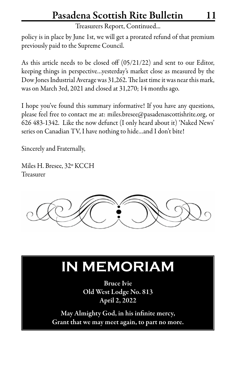Treasurers Report, Continued...

policy is in place by June 1st, we will get a prorated refund of that premium previously paid to the Supreme Council.

As this article needs to be closed off (05/21/22) and sent to our Editor, keeping things in perspective…yesterday's market close as measured by the Dow Jones Industrial Average was 31,262. The last time it was near this mark, was on March 3rd, 2021 and closed at 31,270; 14 months ago.

I hope you've found this summary informative! If you have any questions, please feel free to contact me at: miles.bresee@pasadenascottishrite.org, or 626 483-1342. Like the now defunct (I only heard about it) 'Naked News' series on Canadian TV, I have nothing to hide…and I don't bite!

Sincerely and Fraternally,

Miles H. Bresee, 32º KCCH Treasurer



# **IN MEMORIAM**

Bruce Ivie Old West Lodge No. 813 April 2, 2022

May Almighty God, in his infinite mercy, Grant that we may meet again, to part no more.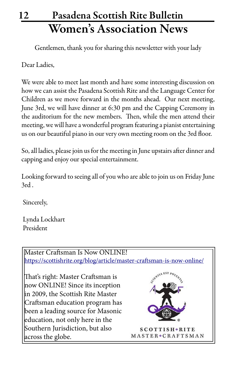## 12 Pasadena Scottish Rite Bulletin Women's Association News

Gentlemen, thank you for sharing this newsletter with your lady

Dear Ladies,

We were able to meet last month and have some interesting discussion on how we can assist the Pasadena Scottish Rite and the Language Center for Children as we move forward in the months ahead. Our next meeting, June 3rd, we will have dinner at 6:30 pm and the Capping Ceremony in the auditorium for the new members. Then, while the men attend their meeting, we will have a wonderful program featuring a pianist entertaining us on our beautiful piano in our very own meeting room on the 3rd floor.

So, all ladies, please join us for the meeting in June upstairs after dinner and capping and enjoy our special entertainment.

Looking forward to seeing all of you who are able to join us on Friday June 3rd .

Sincerely,

 Lynda Lockhart President

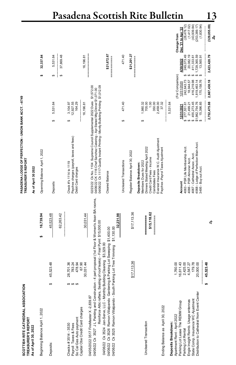| SCOTTISH RITE CATHEDRAL ASSOCIATION<br><b>TREASURER'S REPORT</b>                                                                                         |                                                                          |                                | PASADENA LODGE OF PERFECTION - UNION BANK ACCT. -- 8749<br>TREASURER'S REPORT                                                                                                                                                           |                                                                                |                                                                          |                                                                    |                                                                               |
|----------------------------------------------------------------------------------------------------------------------------------------------------------|--------------------------------------------------------------------------|--------------------------------|-----------------------------------------------------------------------------------------------------------------------------------------------------------------------------------------------------------------------------------------|--------------------------------------------------------------------------------|--------------------------------------------------------------------------|--------------------------------------------------------------------|-------------------------------------------------------------------------------|
| As of April 30, 2022                                                                                                                                     |                                                                          |                                | As of April 30 2022                                                                                                                                                                                                                     |                                                                                |                                                                          |                                                                    |                                                                               |
| Beginning Balance April 1, 2022                                                                                                                          |                                                                          | 16,739.94<br>s,                | Openning Balance April 1, 2022                                                                                                                                                                                                          |                                                                                | s,                                                                       | 32,337.84                                                          |                                                                               |
| ↮<br>Deposits:                                                                                                                                           | 45,523.48                                                                | 45,523.48                      | Deposits                                                                                                                                                                                                                                | 5,531.64<br>↮                                                                  | ↮                                                                        | 5,531.64                                                           |                                                                               |
|                                                                                                                                                          |                                                                          | 62,263.42                      |                                                                                                                                                                                                                                         |                                                                                | ↮                                                                        | 37,869.48                                                          |                                                                               |
| <b>69 69 69</b><br>So Cal Gas Auto payment<br>Payroll Taxes & Fees<br>Checks #3514 - 3530                                                                | 28,701.36<br>783.24<br>478.94                                            |                                | Paychex charges (payroll, taxes and fees)<br>Check #'s 1114 to 1119<br>Debit Card charges                                                                                                                                               | 12,927.55<br>164.29<br>3,104.97<br>↮                                           |                                                                          |                                                                    |                                                                               |
| Capital Obe Credit Card charges                                                                                                                          | 67.90<br>30,031.44                                                       | 30,031.44                      |                                                                                                                                                                                                                                         | 16,196.81                                                                      |                                                                          | 16,196.81                                                          |                                                                               |
| 04/06/22 Ck 3527 J L Painting and Construction - 4 part proposal (1st Floor & Women's Assn BA rooms,<br>04/05/2022 3517 FireMaster X-2,839.87            | Reinforce Attic rafters, Sealing of roof leaks) - Final Pymt \$15,000.00 |                                | 04/06/22 Ck 1117 Quality Instant Printing - Montly Bulleting Printing \$1,012.09<br>02/23/22 Ck No. 1104 Supreme Council Supplemental 2022 Dues \$1,572.00<br>04/06/22 CK 1116 Chef Sanchez Catering - Apr Stated Mtg Dinner \$1,071.00 |                                                                                |                                                                          |                                                                    |                                                                               |
| 04/06/22 Ck 3526 Ramon Villalpando Gardening & Parking Lot Sweeping \$1,400.00<br>04/06/22 Ck 3524 Jan-Serve, LLC - Monthly Building Cleaning \$3,329.00 |                                                                          |                                | Cleared Balance                                                                                                                                                                                                                         |                                                                                |                                                                          | \$21,672.67                                                        |                                                                               |
| 04/06/22 Ck 3525 Ramon Villalpando - South Parking Lot Tree Trimming                                                                                     |                                                                          | 32,231.98<br>\$1,130.00        |                                                                                                                                                                                                                                         |                                                                                |                                                                          |                                                                    |                                                                               |
|                                                                                                                                                          |                                                                          |                                | Uncleared Transactions                                                                                                                                                                                                                  | 471.40<br>↮                                                                    |                                                                          | 471.40                                                             |                                                                               |
|                                                                                                                                                          | \$17,113.36                                                              | \$17,113.36                    | Register Balance April 30, 2022                                                                                                                                                                                                         |                                                                                |                                                                          | \$21,201.27                                                        |                                                                               |
| Uncleared Transaction                                                                                                                                    |                                                                          | \$15,118.62<br> <br> <br> <br> | Everest Insurance W.C. Audit Ajustment<br>Dinners Stated Meeting April 2022<br>Credit Card Fees - Income<br>Members Dues for 2022<br>Deposits Breakdown:<br><b>Candidates Fees</b>                                                      | 1.00<br>350.00<br>2,458.00<br>1,980.32<br>705.00<br>မာ                         |                                                                          |                                                                    |                                                                               |
| Ending Balance as April 30, 2022                                                                                                                         |                                                                          |                                | Paychex -Payrol Taxes Ajustment                                                                                                                                                                                                         | 37.32                                                                          |                                                                          |                                                                    |                                                                               |
| Parking Lot Lease The REMM Group<br>Apartment Rent - April 2022<br>Deposits Breakdown:                                                                   | 16,611.43<br>1,760.00                                                    |                                | Account                                                                                                                                                                                                                                 | 5,531.64<br>12/31/2021                                                         | (For Comparison)<br>12/31/2020                                           | 4/30/2022                                                          | Dec '21 to Apr '22<br>Change from                                             |
| Distribution to Cathedral from Event Center<br>State Comp. Insurance WC Ajustment<br>Engie Insight Reimb. Usage antennas<br>Parking Lot Rental           | 2,425.00<br>179.78<br>20,000.00<br>4,547.27                              |                                | 4068 - Lodge of Perfection Main Acct<br>4063 - PSR Life Membership Acct.<br>4067 - Cathedral Assoc. Acct.<br>4066 - PSR Almoner Acct.<br>3495 - Buy out Acct                                                                            | 15,396.85<br>\$455,273.45<br>\$1,982,754.76<br>\$ 277,551.61<br>21,499.21<br>Ø | ↮<br>170, 158.76<br>416,219.98<br>242,643.73<br>,819,463.14<br>18,944.57 | 249,073.49<br>1,729,365.59<br>20,082.19<br>411,333.61<br>13,565.91 | (28, 478, 12)<br>(1,417.02)<br>$(43,939.84)$<br>$(253,389.17)$<br>(1, 830.94) |
| s,                                                                                                                                                       | 45,523.48                                                                | Ą,                             |                                                                                                                                                                                                                                         | 2,752,475.88                                                                   | 2,667,430.18                                                             | 2,423,420.79                                                       | (329, 055.09)<br>ధి                                                           |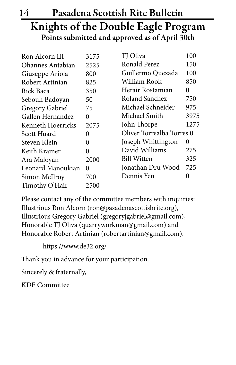## 14 Pasadena Scottish Rite Bulletin Knights of the Double Eagle Program Points submitted and approved as of April 30th

| 3175 | TJ Oliva                  | 100  |
|------|---------------------------|------|
| 2525 | Ronald Perez              | 150  |
| 800  | Guillermo Quezada         | 100  |
| 825  | William Rook              | 850  |
| 350  | Herair Rostamian          | 0    |
| 50   | Roland Sanchez            | 750  |
| 75   | Michael Schneider         | 975  |
| 0    | Michael Smith             | 3975 |
| 2075 | John Thorpe               | 1275 |
| 0    | Oliver Torrealba Torres 0 |      |
| 0    | Joseph Whittington        | 0    |
| 0    | David Williams            | 275  |
| 2000 | <b>Bill Witten</b>        | 325  |
| 0    | Jonathan Dru Wood         | 725  |
| 700  | Dennis Yen                | 0    |
| 2500 |                           |      |
|      |                           |      |

Please contact any of the committee members with inquiries: Illustrious Ron Alcorn (ron@pasadenascottishrite.org), Illustrious Gregory Gabriel (gregoryjgabriel@gmail.com), Honorable TJ Oliva (quarryworkman@gmail.com) and Honorable Robert Artinian (robertartinian@gmail.com).

https://www.de32.org/

Thank you in advance for your participation.

Sincerely & fraternally,

KDE Committee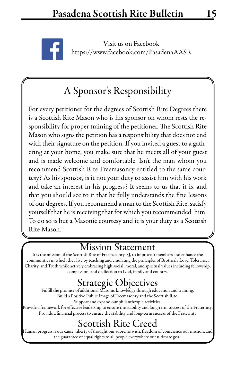

Visit us on Facebook https://www.facebook.com/PasadenaAASR

## A Sponsor's Responsibility

For every petitioner for the degrees of Scottish Rite Degrees there is a Scottish Rite Mason who is his sponsor on whom rests the responsibility for proper training of the petitioner. The Scottish Rite Mason who signs the petition has a responsibility that does not end with their signature on the petition. If you invited a guest to a gathering at your home, you make sure that he meets all of your guest and is made welcome and comfortable. Isn't the man whom you recommend Scottish Rite Freemasonry entitled to the same courtesy? As his sponsor, is it not your duty to assist him with his work and take an interest in his progress? It seems to us that it is, and that you should see to it that he fully understands the fine lessons of our degrees. If you recommend a man to the Scottish Rite, satisfy yourself that he is receiving that for which you recommended him. To do so is but a Masonic courtesy and it is your duty as a Scottish Rite Mason.

### Mission Statement

It is the mission of the Scottish Rite of Freemasonry, SJ, to improve it members and enhance the communities in which they live by teaching and emulating the principles of Brotherly Love, Tolerance, Charity, and Truth while actively embracing high social, moral, and spiritual values including fellowship, compassion, and dedication to God, family and country.

Strategic Objectives<br>Fulfill the promise of additional Masonic knowledge through education and training. Build a Positive Public Image of Freemasonry and the Scottish Rite. Support and expand our philanthropic activities.

Provide a framework for effective leadership to ensure the stability and long-term success of the Fraternity. Provide a financial process to ensure the stability and long-term success of the Fraternity

## Scottish Rite Creed

Human progress is our cause, liberty of thought our supreme wish, freedom of conscience our mission, and the guarantee of equal rights to all people everywhere our ultimate goal.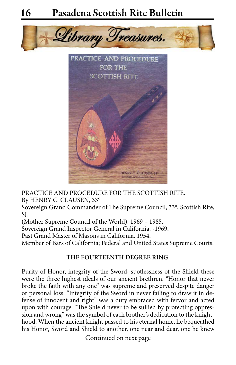



PRACTICE AND PROCEDURE FOR THE SCOTTISH RITE. By HENRY C. CLAUSEN, 33°

Sovereign Grand Commander of The Supreme Council, 33°, Scottish Rite, SJ.

(Mother Supreme Council of the World). 1969 – 1985.

Sovereign Grand Inspector General in California. -1969.

Past Grand Master of Masons in California. 1954.

Member of Bars of California; Federal and United States Supreme Courts.

### **THE FOURTEENTH DEGREE RING.**

Purity of Honor, integrity of the Sword, spotlessness of the Shield-these were the three highest ideals of our ancient brethren. "Honor that never broke the faith with any one" was supreme and preserved despite danger or personal loss. "Integrity of the Sword in never failing to draw it in defense of innocent and right" was a duty embraced with fervor and acted upon with courage. "The Shield never to be sullied by protecting oppression and wrong" was the symbol of each brother's dedication to the knighthood. When the ancient knight passed to his eternal home, he bequeathed his Honor, Sword and Shield to another, one near and dear, one he knew

Continued on next page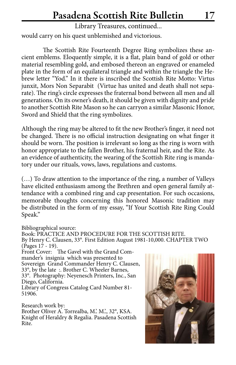Library Treasures, continued...

would carry on his quest unblemished and victorious.

The Scottish Rite Fourteenth Degree Ring symbolizes these ancient emblems. Eloquently simple, it is a flat, plain band of gold or other material resembling gold, and embosed thereon an engraved or enameled plate in the form of an equilateral triangle and within the triangle the Hebrew letter "Yod." In it there is inscribed the Scottish Rite Motto: Virtus junxit, Mors Non Separabit (Virtue has united and death shall not separate). The ring's circle expresses the fraternal bond between all men and all generations. On its owner's death, it should be given with dignity and pride to another Scottish Rite Mason so he can carryon a similar Masonic Honor, Sword and Shield that the ring symbolizes.

Although the ring may be altered to fit the new Brother's finger, it need not be changed. There is no official instruction designating on what finger it should be worn. The position is irrelevant so long as the ring is worn with honor appropriate to the fallen Brother, his fraternal heir, and the Rite. As an evidence of authenticity, the wearing of the Scottish Rite ring is mandatory under our rituals, vows, laws, regulations and customs.

(…) To draw attention to the importance of the ring, a number of Valleys have elicited enthusiasm among the Brethren and open general family attendance with a combined ring and cap presentation. For such occasions, memorable thoughts concerning this honored Masonic tradition may be distributed in the form of my essay, "If Your Scottish Rite Ring Could Speak."

Bibliographical source:

Book: PRACTICE AND PROCEDURE FOR THE SCOTTISH RITE. By Henry C. Clausen, 33°. First Edition August 1981-10,000. CHAPTER TWO (Pages 17 - 19).

Front Cover: The Gavel with the Grand Commander's insignia which was presented to Sovereign Grand Commander Henry C. Clausen, 33°, by the late :. Brother C. Wheeler Barnes, 33°. Photography: Neyenesch Printers, Inc., San Diego, California.

Library of Congress Catalog Card Number 81- 51906.

Research work by: Brother Oliver A. Torrealba, M.'. M.'., 32°, KSA. Knight of Heraldry & Regalia. Pasadena Scottish Rite.

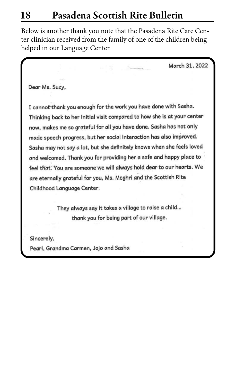Below is another thank you note that the Pasadena Rite Care Center clinician received from the family of one of the children being helped in our Language Center.

March 31, 2022

Dear Ms. Suzy,

I cannot thank you enough for the work you have done with Sasha. Thinking back to her initial visit compared to how she is at your center now, makes me so grateful for all you have done. Sasha has not only made speech progress, but her social interaction has also improved. Sasha may not say a lot, but she definitely knows when she feels loved and welcomed. Thank you for providing her a safe and happy place to feel that. You are someone we will always hold dear to our hearts. We are eternally grateful for you, Ms. Meghri and the Scottish Rite Childhood Language Center.

> They always say it takes a village to raise a child... thank you for being part of our village.

Sincerely, Pearl, Grandma Carmen, Jojo and Sasha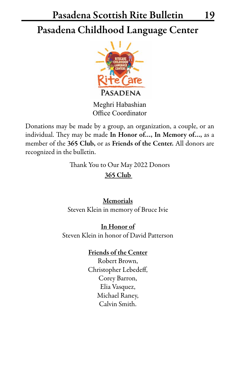## Pasadena Scottish Rite Bulletin 19 Pasadena Childhood Language Center



Meghri Habashian Office Coordinator

Donations may be made by a group, an organization, a couple, or an individual. They may be made In Honor of…, In Memory of…, as a member of the 365 Club, or as Friends of the Center. All donors are recognized in the bulletin.

Thank You to Our May 2022 Donors

365 Club

Memorials Steven Klein in memory of Bruce Ivie

In Honor of Steven Klein in honor of David Patterson

### Friends of the Center

Robert Brown, Christopher Lebedeff, Corey Barron, Elia Vasquez, Michael Raney, Calvin Smith.